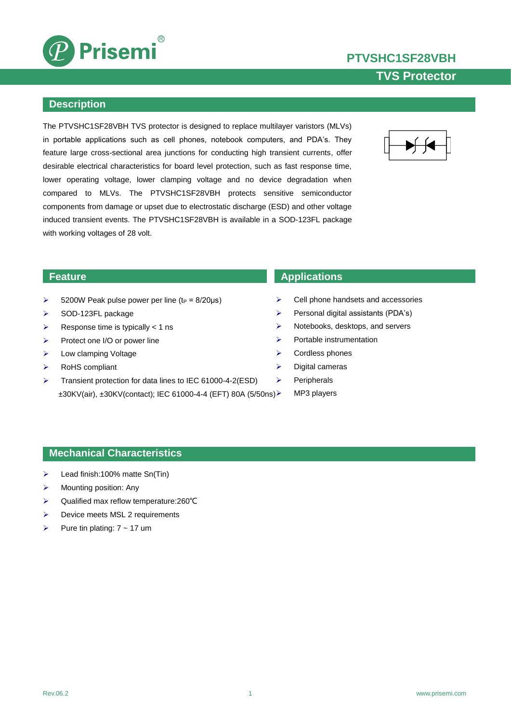

**TVS Protector**



### **Description**

The PTVSHC1SF28VBH TVS protector is designed to replace multilayer varistors (MLVs) in portable applications such as cell phones, notebook computers, and PDA's. They feature large cross-sectional area junctions for conducting high transient currents, offer desirable electrical characteristics for board level protection, such as fast response time, lower operating voltage, lower clamping voltage and no device degradation when compared to MLVs. The PTVSHC1SF28VBH protects sensitive semiconductor components from damage or upset due to electrostatic discharge (ESD) and other voltage induced transient events. The PTVSHC1SF28VBH is available in a SOD-123FL package with working voltages of 28 volt.



- $\geq$  5200W Peak pulse power per line (t<sub>P</sub> = 8/20µs)
- $\triangleright$  SOD-123FL package
- Response time is typically  $< 1$  ns
- $\triangleright$  Protect one I/O or power line
- $\triangleright$  Low clamping Voltage
- RoHS compliant
- > Transient protection for data lines to IEC 61000-4-2(ESD) ±30KV(air), ±30KV(contact); IEC 61000-4-4 (EFT) 80A (5/50ns)

### **Feature Applications**

- $\triangleright$  Cell phone handsets and accessories
- $\triangleright$  Personal digital assistants (PDA's)
- $\triangleright$  Notebooks, desktops, and servers
- $\triangleright$  Portable instrumentation
- $\triangleright$  Cordless phones
- $\triangleright$  Digital cameras
- $\triangleright$  Peripherals
	- MP3 players

### **Mechanical Characteristics**

- $\blacktriangleright$  Lead finish:100% matte Sn(Tin)
- $\triangleright$  Mounting position: Any
- Qualified max reflow temperature:260℃
- $\triangleright$  Device meets MSL 2 requirements
- Pure tin plating: 7 ~ 17 um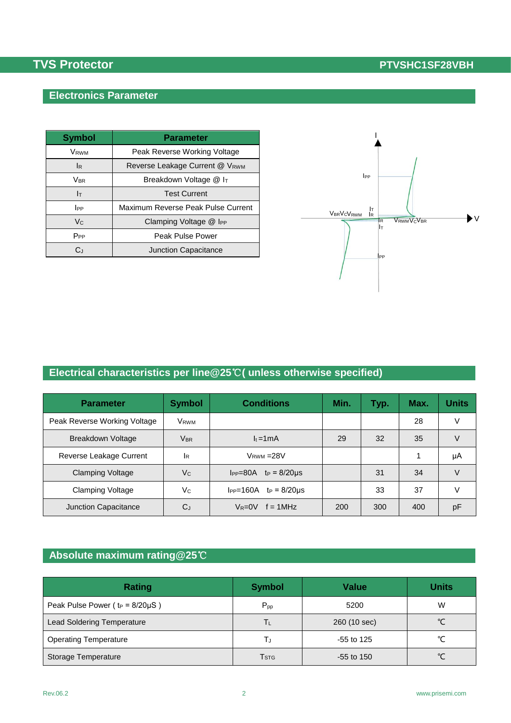## **Electronics Parameter**

| <b>Symbol</b>           | <b>Parameter</b>                   |  |  |
|-------------------------|------------------------------------|--|--|
| <b>V</b> <sub>RWM</sub> | Peak Reverse Working Voltage       |  |  |
| lR.                     | Reverse Leakage Current @ VRWM     |  |  |
| <b>V</b> <sub>BR</sub>  | Breakdown Voltage @ IT             |  |  |
| Iт                      | <b>Test Current</b>                |  |  |
| <b>I</b> PP             | Maximum Reverse Peak Pulse Current |  |  |
| $V_{C}$                 | Clamping Voltage @ IPP             |  |  |
| $P_{PP}$                | Peak Pulse Power                   |  |  |
| $C_{1}$                 | <b>Junction Capacitance</b>        |  |  |



# **Electrical characteristics per line@25**℃**( unless otherwise specified)**

| <b>Parameter</b>             | <b>Symbol</b>    | <b>Conditions</b>                          | Min. | Typ. | Max. | Units  |
|------------------------------|------------------|--------------------------------------------|------|------|------|--------|
| Peak Reverse Working Voltage | V <sub>RWM</sub> |                                            |      |      | 28   | v      |
| Breakdown Voltage            | VBR              | $l_t = 1mA$                                | 29   | 32   | 35   |        |
| Reverse Leakage Current      | lR               | $VRWM = 28V$                               |      |      |      | μA     |
| <b>Clamping Voltage</b>      | V <sub>c</sub>   | $IPP = 80A$<br>$tp = 8/20 \mu s$           |      | 31   | 34   | $\vee$ |
| <b>Clamping Voltage</b>      | Vc               | I <sub>PP</sub> =160A<br>$tp = 8/20 \mu s$ |      | 33   | 37   | $\vee$ |
| Junction Capacitance         | $C_{J}$          | $V_R = 0V$<br>$f = 1$ MHz                  | 200  | 300  | 400  | рF     |

# **Absolute maximum rating@25**℃

| <b>Rating</b>                           | <b>Symbol</b>    | <b>Value</b> | <b>Units</b> |
|-----------------------------------------|------------------|--------------|--------------|
| Peak Pulse Power ( $t_P = 8/20 \mu S$ ) | $P_{pp}$         | 5200         | W            |
| <b>Lead Soldering Temperature</b>       | Tι               | 260 (10 sec) | °C           |
| <b>Operating Temperature</b>            | T.,              | $-55$ to 125 | $\sim$       |
| Storage Temperature                     | T <sub>STG</sub> | $-55$ to 150 | $\sim$       |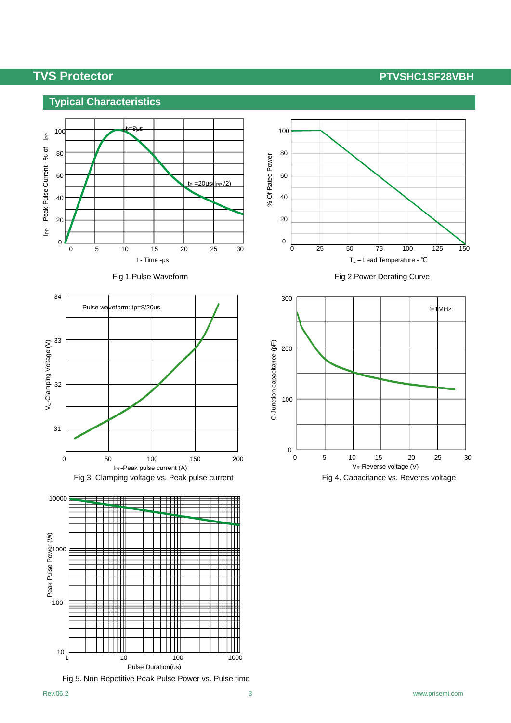## **Typical Characteristics**









Fig 5. Non Repetitive Peak Pulse Power vs. Pulse time



Fig 1. Pulse Waveform **Fig 2. Power Derating Curve** 

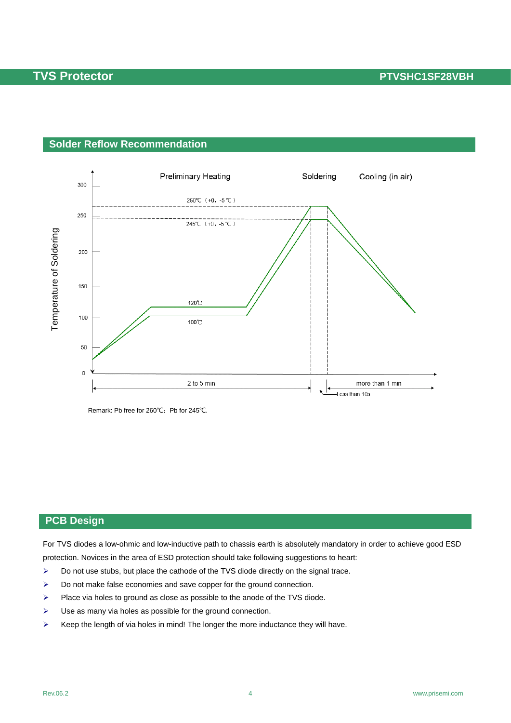### **Solder Reflow Recommendation**



Remark: Pb free for 260℃;Pb for 245℃.

### **PCB Design**

For TVS diodes a low-ohmic and low-inductive path to chassis earth is absolutely mandatory in order to achieve good ESD protection. Novices in the area of ESD protection should take following suggestions to heart:

- $\triangleright$  Do not use stubs, but place the cathode of the TVS diode directly on the signal trace.
- $\triangleright$  Do not make false economies and save copper for the ground connection.
- $\triangleright$  Place via holes to ground as close as possible to the anode of the TVS diode.
- $\triangleright$  Use as many via holes as possible for the ground connection.
- $\triangleright$  Keep the length of via holes in mind! The longer the more inductance they will have.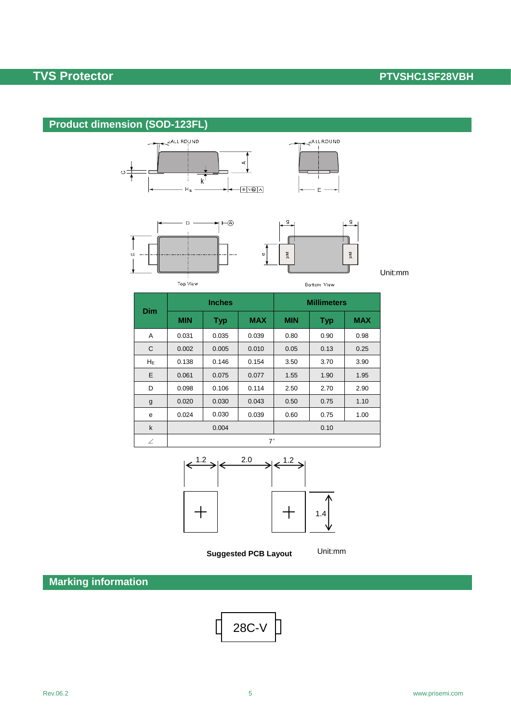# **Product dimension (SOD-123FL)**







ALLROUND

 $\mathsf{E}$ 

Bottom View

Unit:mm

Unit:mm

| <b>Dim</b>  | <b>Inches</b> |            |            | <b>Millimeters</b> |            |            |  |
|-------------|---------------|------------|------------|--------------------|------------|------------|--|
|             | <b>MIN</b>    | <b>Typ</b> | <b>MAX</b> | <b>MIN</b>         | <b>Typ</b> | <b>MAX</b> |  |
| A           | 0.031         | 0.035      | 0.039      | 0.80               | 0.90       | 0.98       |  |
| C           | 0.002         | 0.005      | 0.010      | 0.05               | 0.13       | 0.25       |  |
| $H_E$       | 0.138         | 0.146      | 0.154      | 3.50               | 3.70       | 3.90       |  |
| E           | 0.061         | 0.075      | 0.077      | 1.55               | 1.90       | 1.95       |  |
| D           | 0.098         | 0.106      | 0.114      | 2.50               | 2.70       | 2.90       |  |
| g           | 0.020         | 0.030      | 0.043      | 0.50               | 0.75       | 1.10       |  |
| e           | 0.024         | 0.030      | 0.039      | 0.60               | 0.75       | 1.00       |  |
| $\mathsf k$ | 0.004         |            |            | 0.10               |            |            |  |
| ∠           | $7^{\circ}$   |            |            |                    |            |            |  |

Φ



**Suggested PCB Layout**

**Marking information**

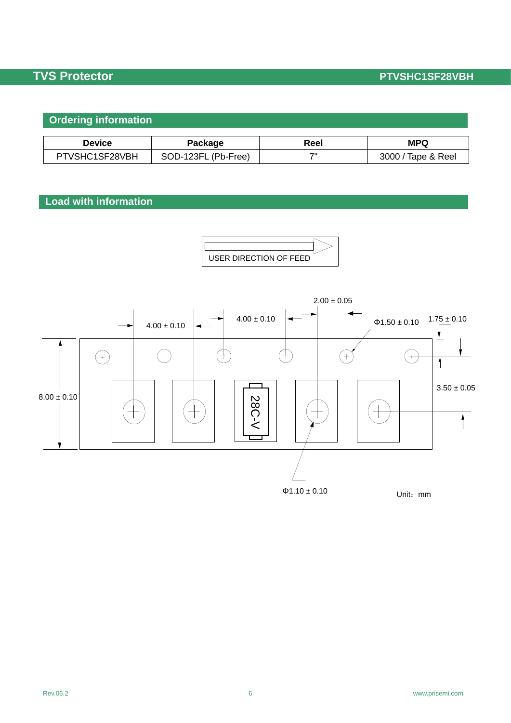# **Ordering information**

| Device         | Package             | Reel | <b>MPQ</b>         |
|----------------|---------------------|------|--------------------|
| PTVSHC1SF28VBH | SOD-123FL (Pb-Free) | 71   | 3000 / Tape & Reel |

## **Load with information**